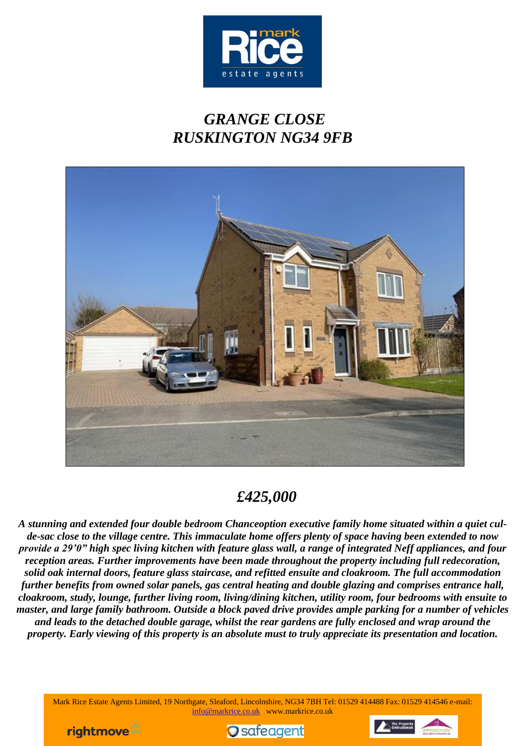

# *GRANGE CLOSE RUSKINGTON NG34 9FB*



# *£425,000*

*A stunning and extended four double bedroom Chanceoption executive family home situated within a quiet culde-sac close to the village centre. This immaculate home offers plenty of space having been extended to now provide a 29'0" high spec living kitchen with feature glass wall, a range of integrated Neff appliances, and four reception areas. Further improvements have been made throughout the property including full redecoration, solid oak internal doors, feature glass staircase, and refitted ensuite and cloakroom. The full accommodation further benefits from owned solar panels, gas central heating and double glazing and comprises entrance hall, cloakroom, study, lounge, further living room, living/dining kitchen, utility room, four bedrooms with ensuite to master, and large family bathroom. Outside a block paved drive provides ample parking for a number of vehicles and leads to the detached double garage, whilst the rear gardens are fully enclosed and wrap around the property. Early viewing of this property is an absolute must to truly appreciate its presentation and location.*

Mark Rice Estate Agents Limited, 19 Northgate, Sleaford, Lincolnshire, NG34 7BH Tel: 01529 414488 Fax: 01529 414546 e-mail: [info@markrice.co.uk](mailto:info@markrice.co.uk) www.markrice.co.uk





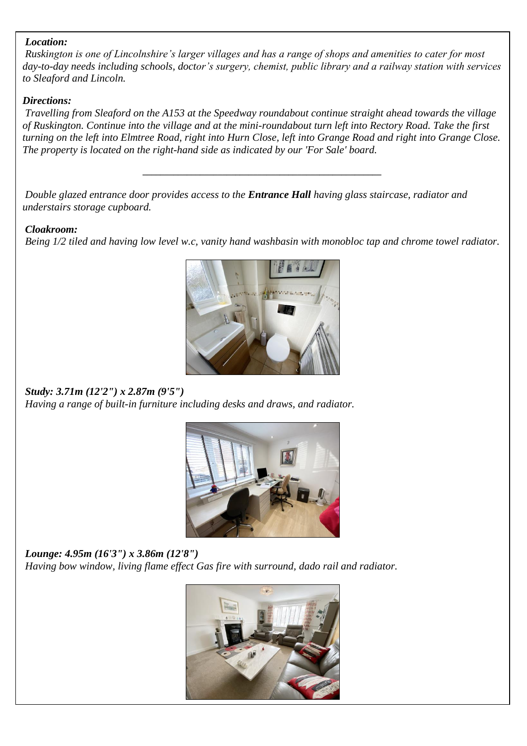#### *Location:*

*Ruskington is one of Lincolnshire's larger villages and has a range of shops and amenities to cater for most day-to-day needs including schools, doctor's surgery, chemist, public library and a railway station with services to Sleaford and Lincoln.*

#### *Directions:*

*Travelling from Sleaford on the A153 at the Speedway roundabout continue straight ahead towards the village of Ruskington. Continue into the village and at the mini-roundabout turn left into Rectory Road. Take the first turning on the left into Elmtree Road, right into Hurn Close, left into Grange Road and right into Grange Close. The property is located on the right-hand side as indicated by our 'For Sale' board.*

*\_\_\_\_\_\_\_\_\_\_\_\_\_\_\_\_\_\_\_\_\_\_\_\_\_\_\_\_\_\_\_\_\_\_\_\_\_\_\_\_\_\_\_\_\_\_\_\_\_\_\_\_\_\_*

*Double glazed entrance door provides access to the Entrance Hall having glass staircase, radiator and understairs storage cupboard.*

#### *Cloakroom:*

*Being 1/2 tiled and having low level w.c, vanity hand washbasin with monobloc tap and chrome towel radiator.*



#### *Study: 3.71m (12'2") x 2.87m (9'5") Having a range of built-in furniture including desks and draws, and radiator.*



*Lounge: 4.95m (16'3") x 3.86m (12'8") Having bow window, living flame effect Gas fire with surround, dado rail and radiator.*

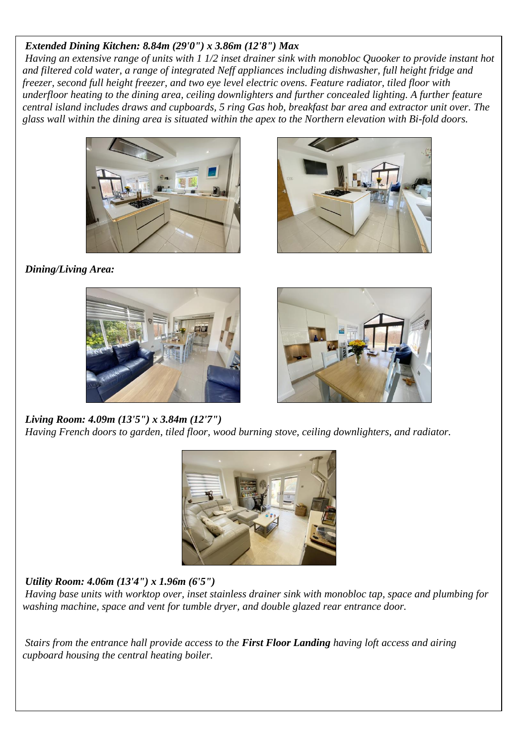# *Extended Dining Kitchen: 8.84m (29'0") x 3.86m (12'8") Max*

*Having an extensive range of units with 1 1/2 inset drainer sink with monobloc Quooker to provide instant hot and filtered cold water, a range of integrated Neff appliances including dishwasher, full height fridge and freezer, second full height freezer, and two eye level electric ovens. Feature radiator, tiled floor with underfloor heating to the dining area, ceiling downlighters and further concealed lighting. A further feature central island includes draws and cupboards, 5 ring Gas hob, breakfast bar area and extractor unit over. The glass wall within the dining area is situated within the apex to the Northern elevation with Bi-fold doors.*





*Dining/Living Area:*





#### *Living Room: 4.09m (13'5") x 3.84m (12'7")*

*Having French doors to garden, tiled floor, wood burning stove, ceiling downlighters, and radiator.*



# *Utility Room: 4.06m (13'4") x 1.96m (6'5")*

*Having base units with worktop over, inset stainless drainer sink with monobloc tap, space and plumbing for washing machine, space and vent for tumble dryer, and double glazed rear entrance door.*

*Stairs from the entrance hall provide access to the First Floor Landing having loft access and airing cupboard housing the central heating boiler.*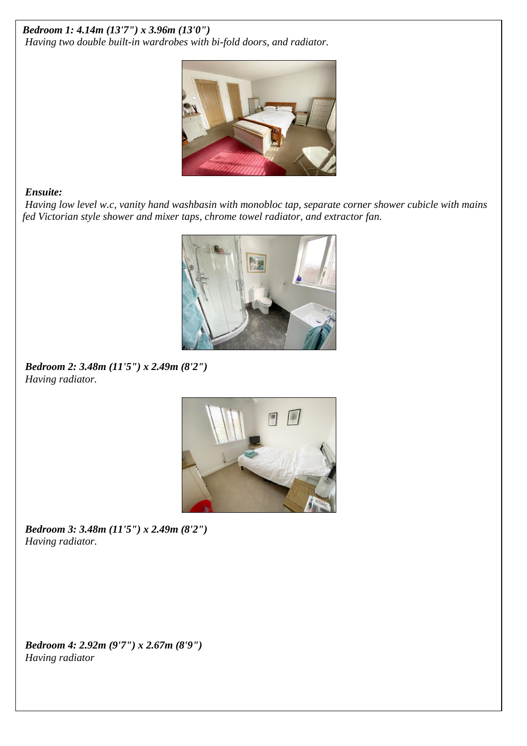## *Bedroom 1: 4.14m (13'7") x 3.96m (13'0") Having two double built-in wardrobes with bi-fold doors, and radiator.*



## *Ensuite:*

*Having low level w.c, vanity hand washbasin with monobloc tap, separate corner shower cubicle with mains fed Victorian style shower and mixer taps, chrome towel radiator, and extractor fan.*



*Bedroom 2: 3.48m (11'5") x 2.49m (8'2") Having radiator.*



*Bedroom 3: 3.48m (11'5") x 2.49m (8'2") Having radiator.*

*Bedroom 4: 2.92m (9'7") x 2.67m (8'9") Having radiator*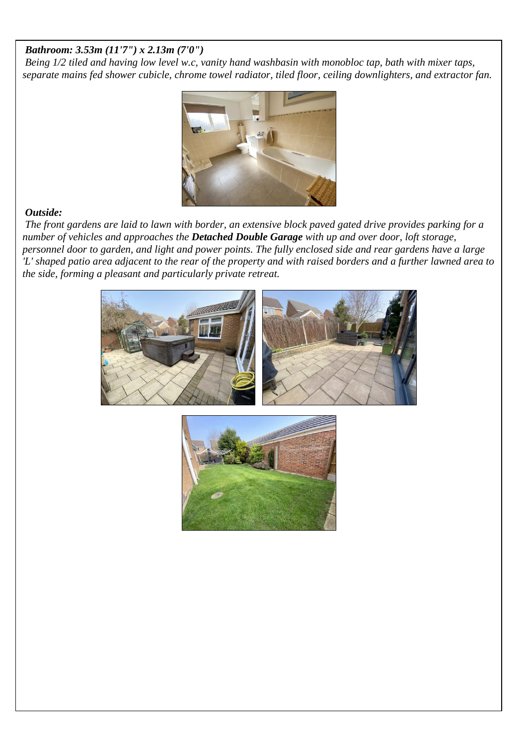#### *Bathroom: 3.53m (11'7") x 2.13m (7'0")*

*Being 1/2 tiled and having low level w.c, vanity hand washbasin with monobloc tap, bath with mixer taps, separate mains fed shower cubicle, chrome towel radiator, tiled floor, ceiling downlighters, and extractor fan.*



## *Outside:*

*The front gardens are laid to lawn with border, an extensive block paved gated drive provides parking for a number of vehicles and approaches the Detached Double Garage with up and over door, loft storage, personnel door to garden, and light and power points. The fully enclosed side and rear gardens have a large 'L' shaped patio area adjacent to the rear of the property and with raised borders and a further lawned area to the side, forming a pleasant and particularly private retreat.*

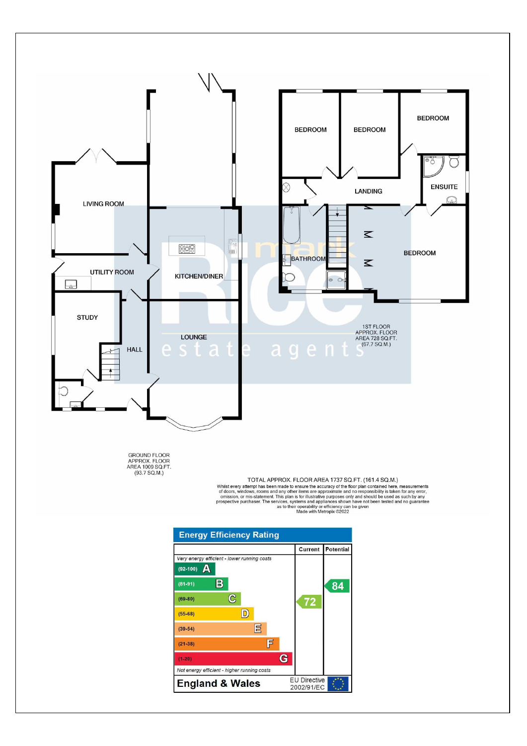